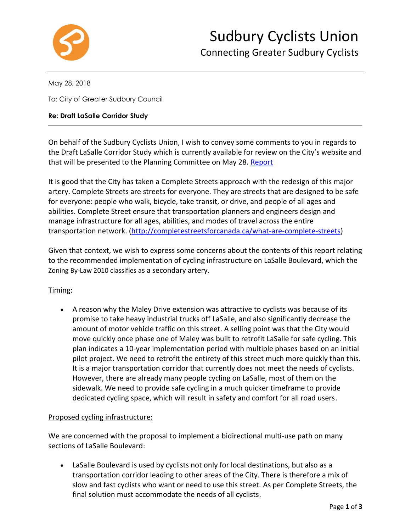

May 28, 2018

To: City of Greater Sudbury Council

#### **Re: Draft LaSalle Corridor Study**

On behalf of the Sudbury Cyclists Union, I wish to convey some comments to you in regards to the Draft LaSalle Corridor Study which is currently available for review on the City's website and that will be presented to the Planning Committee on May 28. Report

It is good that the City has taken a Complete Streets approach with the redesign of this major artery. Complete Streets are streets for everyone. They are streets that are designed to be safe for everyone: people who walk, bicycle, take transit, or drive, and people of all ages and abilities. Complete Street ensure that transportation planners and engineers design and manage infrastructure for all ages, abilities, and modes of travel across the entire transportation network. [\(http://completestreetsforcanada.ca/what-are-complete-streets\)](http://completestreetsforcanada.ca/what-are-complete-streets)

Given that context, we wish to express some concerns about the contents of this report relating to the recommended implementation of cycling infrastructure on LaSalle Boulevard, which the Zoning By-Law 2010 classifies as a secondary artery.

# Timing:

• A reason why the Maley Drive extension was attractive to cyclists was because of its promise to take heavy industrial trucks off LaSalle, and also significantly decrease the amount of motor vehicle traffic on this street. A selling point was that the City would move quickly once phase one of Maley was built to retrofit LaSalle for safe cycling. This plan indicates a 10-year implementation period with multiple phases based on an initial pilot project. We need to retrofit the entirety of this street much more quickly than this. It is a major transportation corridor that currently does not meet the needs of cyclists. However, there are already many people cycling on LaSalle, most of them on the sidewalk. We need to provide safe cycling in a much quicker timeframe to provide dedicated cycling space, which will result in safety and comfort for all road users.

### Proposed cycling infrastructure:

We are concerned with the proposal to implement a bidirectional multi-use path on many sections of LaSalle Boulevard:

• LaSalle Boulevard is used by cyclists not only for local destinations, but also as a transportation corridor leading to other areas of the City. There is therefore a mix of slow and fast cyclists who want or need to use this street. As per Complete Streets, the final solution must accommodate the needs of all cyclists.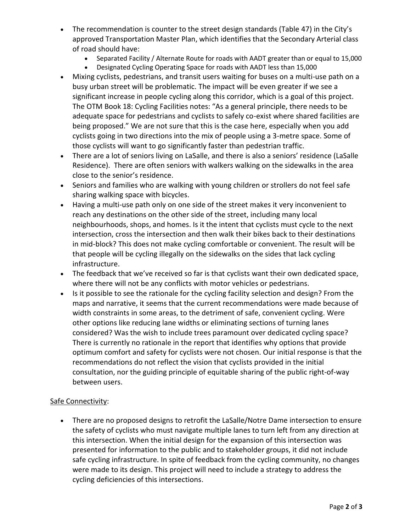- The recommendation is counter to the street design standards (Table 47) in the City's approved Transportation Master Plan, which identifies that the Secondary Arterial class of road should have:
	- Separated Facility / Alternate Route for roads with AADT greater than or equal to 15,000
	- Designated Cycling Operating Space for roads with AADT less than 15,000
- Mixing cyclists, pedestrians, and transit users waiting for buses on a multi-use path on a busy urban street will be problematic. The impact will be even greater if we see a significant increase in people cycling along this corridor, which is a goal of this project. The OTM Book 18: Cycling Facilities notes: "As a general principle, there needs to be adequate space for pedestrians and cyclists to safely co-exist where shared facilities are being proposed." We are not sure that this is the case here, especially when you add cyclists going in two directions into the mix of people using a 3-metre space. Some of those cyclists will want to go significantly faster than pedestrian traffic.
- There are a lot of seniors living on LaSalle, and there is also a seniors' residence (LaSalle Residence). There are often seniors with walkers walking on the sidewalks in the area close to the senior's residence.
- Seniors and families who are walking with young children or strollers do not feel safe sharing walking space with bicycles.
- Having a multi-use path only on one side of the street makes it very inconvenient to reach any destinations on the other side of the street, including many local neighbourhoods, shops, and homes. Is it the intent that cyclists must cycle to the next intersection, cross the intersection and then walk their bikes back to their destinations in mid-block? This does not make cycling comfortable or convenient. The result will be that people will be cycling illegally on the sidewalks on the sides that lack cycling infrastructure.
- The feedback that we've received so far is that cyclists want their own dedicated space, where there will not be any conflicts with motor vehicles or pedestrians.
- Is it possible to see the rationale for the cycling facility selection and design? From the maps and narrative, it seems that the current recommendations were made because of width constraints in some areas, to the detriment of safe, convenient cycling. Were other options like reducing lane widths or eliminating sections of turning lanes considered? Was the wish to include trees paramount over dedicated cycling space? There is currently no rationale in the report that identifies why options that provide optimum comfort and safety for cyclists were not chosen. Our initial response is that the recommendations do not reflect the vision that cyclists provided in the initial consultation, nor the guiding principle of equitable sharing of the public right-of-way between users.

# Safe Connectivity:

• There are no proposed designs to retrofit the LaSalle/Notre Dame intersection to ensure the safety of cyclists who must navigate multiple lanes to turn left from any direction at this intersection. When the initial design for the expansion of this intersection was presented for information to the public and to stakeholder groups, it did not include safe cycling infrastructure. In spite of feedback from the cycling community, no changes were made to its design. This project will need to include a strategy to address the cycling deficiencies of this intersections.